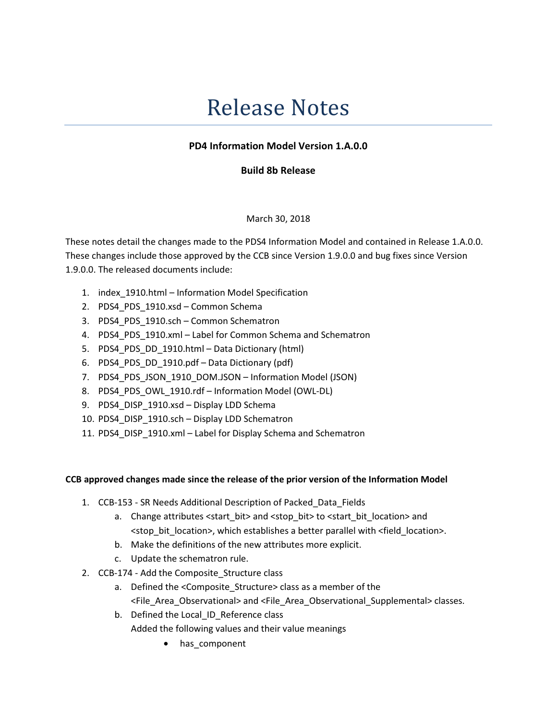# Release Notes

## PD4 Information Model Version 1.A.0.0

### Build 8b Release

#### March 30, 2018

These notes detail the changes made to the PDS4 Information Model and contained in Release 1.A.0.0. These changes include those approved by the CCB since Version 1.9.0.0 and bug fixes since Version 1.9.0.0. The released documents include:

- 1. index\_1910.html Information Model Specification
- 2. PDS4 PDS 1910.xsd Common Schema
- 3. PDS4 PDS 1910.sch Common Schematron
- 4. PDS4\_PDS\_1910.xml Label for Common Schema and Schematron
- 5. PDS4\_PDS\_DD\_1910.html Data Dictionary (html)
- 6. PDS4\_PDS\_DD\_1910.pdf Data Dictionary (pdf)
- 7. PDS4 PDS JSON 1910 DOM.JSON Information Model (JSON)
- 8. PDS4 PDS OWL 1910.rdf Information Model (OWL-DL)
- 9. PDS4\_DISP\_1910.xsd Display LDD Schema
- 10. PDS4\_DISP\_1910.sch Display LDD Schematron
- 11. PDS4\_DISP\_1910.xml Label for Display Schema and Schematron

#### CCB approved changes made since the release of the prior version of the Information Model

- 1. CCB-153 SR Needs Additional Description of Packed\_Data\_Fields
	- a. Change attributes <start\_bit> and <stop\_bit> to <start\_bit\_location> and <stop\_bit\_location>, which establishes a better parallel with <field\_location>.
	- b. Make the definitions of the new attributes more explicit.
	- c. Update the schematron rule.
- 2. CCB-174 Add the Composite Structure class
	- a. Defined the <Composite Structure> class as a member of the <File\_Area\_Observational> and <File\_Area\_Observational\_Supplemental> classes.
	- b. Defined the Local\_ID\_Reference class Added the following values and their value meanings
		- has component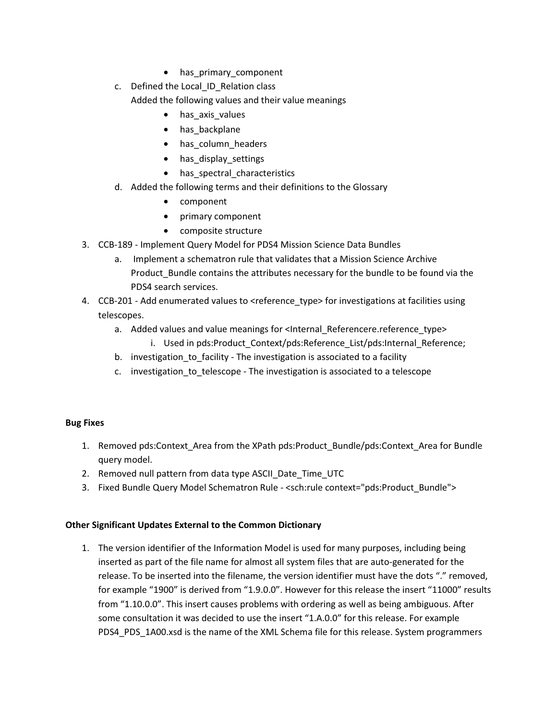- has primary component
- c. Defined the Local\_ID\_Relation class
	- Added the following values and their value meanings
		- has\_axis\_values
		- has backplane
		- has\_column\_headers
		- has display settings
		- has spectral characteristics
- d. Added the following terms and their definitions to the Glossary
	- component
	- primary component
	- composite structure
- 3. CCB-189 Implement Query Model for PDS4 Mission Science Data Bundles
	- a. Implement a schematron rule that validates that a Mission Science Archive Product Bundle contains the attributes necessary for the bundle to be found via the PDS4 search services.
- 4. CCB-201 Add enumerated values to <reference\_type> for investigations at facilities using telescopes.
	- a. Added values and value meanings for <Internal\_Referencere.reference\_type> i. Used in pds:Product Context/pds:Reference List/pds:Internal Reference;
	- b. investigation to facility The investigation is associated to a facility
	- c. investigation\_to\_telescope The investigation is associated to a telescope

## Bug Fixes

- 1. Removed pds:Context Area from the XPath pds:Product Bundle/pds:Context Area for Bundle query model.
- 2. Removed null pattern from data type ASCII Date Time UTC
- 3. Fixed Bundle Query Model Schematron Rule <sch:rule context="pds:Product\_Bundle">

## Other Significant Updates External to the Common Dictionary

1. The version identifier of the Information Model is used for many purposes, including being inserted as part of the file name for almost all system files that are auto-generated for the release. To be inserted into the filename, the version identifier must have the dots "." removed, for example "1900" is derived from "1.9.0.0". However for this release the insert "11000" results from "1.10.0.0". This insert causes problems with ordering as well as being ambiguous. After some consultation it was decided to use the insert "1.A.0.0" for this release. For example PDS4 PDS 1A00.xsd is the name of the XML Schema file for this release. System programmers